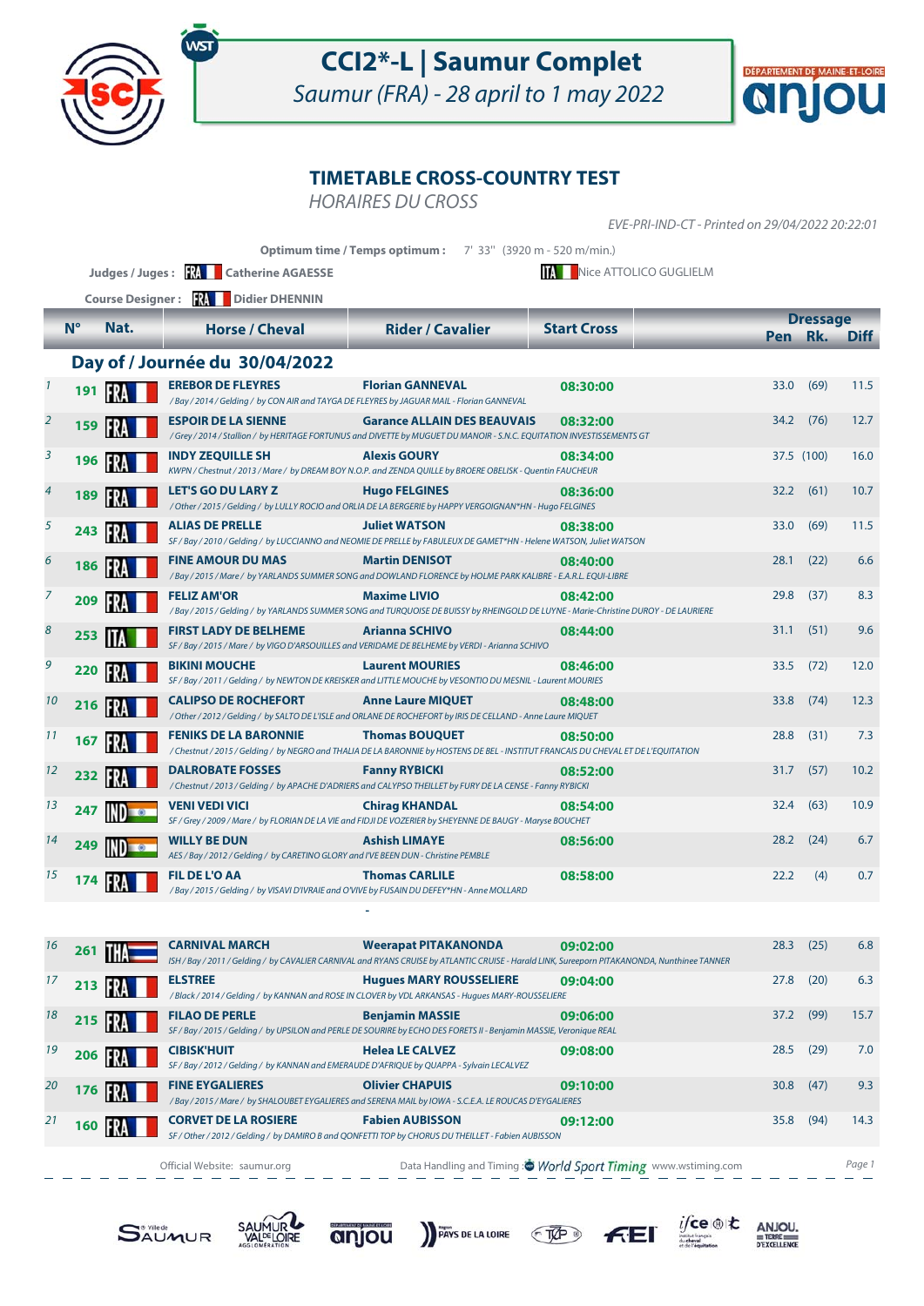

Saumur (FRA) - 28 april to 1 may 2022



#### **TIMETABLE CROSS-COUNTRY TEST**

HORAIRES DU CROSS

EVE-PRI-IND-CT - Printed on 29/04/2022 20:22:01

**Optimum time / Temps optimum :** 7' 33" (3920 m - 520 m/min.)

**Judges / Juges : <b>RA** Catherine AGAESSE **Nice ATTOLICO GUGLIELM** 

|                |             | <b>Course Designer:</b> | <b>FRA</b><br>Didier DHENNIN                                                                                                                                        |                                    |                    |      |                 |             |
|----------------|-------------|-------------------------|---------------------------------------------------------------------------------------------------------------------------------------------------------------------|------------------------------------|--------------------|------|-----------------|-------------|
|                | $N^{\circ}$ | Nat.                    | <b>Horse / Cheval</b>                                                                                                                                               | <b>Rider / Cavalier</b>            | <b>Start Cross</b> |      | <b>Dressage</b> |             |
|                |             |                         |                                                                                                                                                                     |                                    |                    |      | Pen Rk.         | <b>Diff</b> |
|                |             |                         | Day of / Journée du 30/04/2022                                                                                                                                      |                                    |                    |      |                 |             |
| $\mathbf{1}$   | 191         | FR.                     | <b>EREBOR DE FLEYRES</b><br>/Bay / 2014 / Gelding / by CON AIR and TAYGA DE FLEYRES by JAGUAR MAIL - Florian GANNEVAL                                               | <b>Florian GANNEVAL</b>            | 08:30:00           | 33.0 | (69)            | 11.5        |
| $\overline{2}$ | 159         |                         | <b>ESPOIR DE LA SIENNE</b><br>/Grey / 2014 / Stallion / by HERITAGE FORTUNUS and DIVETTE by MUGUET DU MANOIR - S.N.C. EQUITATION INVESTISSEMENTS GT                 | <b>Garance ALLAIN DES BEAUVAIS</b> | 08:32:00           | 34.2 | (76)            | 12.7        |
| $\overline{3}$ | 196         | <b>FRA</b>              | <b>INDY ZEQUILLE SH</b><br>KWPN / Chestnut / 2013 / Mare / by DREAM BOY N.O.P. and ZENDA QUILLE by BROERE OBELISK - Quentin FAUCHEUR                                | <b>Alexis GOURY</b>                | 08:34:00           |      | 37.5 (100)      | 16.0        |
| $\overline{4}$ | 189         | IFRI                    | <b>LET'S GO DU LARY Z</b><br>/ Other / 2015 / Gelding / by LULLY ROCIO and ORLIA DE LA BERGERIE by HAPPY VERGOIGNAN*HN - Hugo FELGINES                              | <b>Hugo FELGINES</b>               | 08:36:00           | 32.2 | (61)            | 10.7        |
| 5              | 243         |                         | <b>ALIAS DE PRELLE</b><br>SF / Bay / 2010 / Gelding / by LUCCIANNO and NEOMIE DE PRELLE by FABULEUX DE GAMET*HN - Helene WATSON, Juliet WATSON                      | <b>Juliet WATSON</b>               | 08:38:00           | 33.0 | (69)            | 11.5        |
| 6              | 186         | IER.                    | <b>FINE AMOUR DU MAS</b><br>/ Bay / 2015 / Mare / by YARLANDS SUMMER SONG and DOWLAND FLORENCE by HOLME PARK KALIBRE - E.A.R.L. EQUI-LIBRE                          | <b>Martin DENISOT</b>              | 08:40:00           | 28.1 | (22)            | 6.6         |
| $\overline{7}$ | 209         |                         | <b>FELIZ AM'OR</b><br>/Bay / 2015 / Gelding / by YARLANDS SUMMER SONG and TURQUOISE DE BUISSY by RHEINGOLD DE LUYNE - Marie-Christine DUROY - DE LAURIERE           | <b>Maxime LIVIO</b>                | 08:42:00           | 29.8 | (37)            | 8.3         |
| 8              | 253         |                         | <b>FIRST LADY DE BELHEME</b><br>SF / Bay / 2015 / Mare / by VIGO D'ARSOUILLES and VERIDAME DE BELHEME by VERDI - Arianna SCHIVO                                     | <b>Arianna SCHIVO</b>              | 08:44:00           | 31.1 | (51)            | 9.6         |
| 9              | 220         |                         | <b>BIKINI MOUCHE</b><br>SF / Bay / 2011 / Gelding / by NEWTON DE KREISKER and LITTLE MOUCHE by VESONTIO DU MESNIL - Laurent MOURIES                                 | <b>Laurent MOURIES</b>             | 08:46:00           | 33.5 | (72)            | 12.0        |
| 10             | 216         |                         | <b>CALIPSO DE ROCHEFORT</b><br>/ Other / 2012 / Gelding / by SALTO DE L'ISLE and ORLANE DE ROCHEFORT by IRIS DE CELLAND - Anne Laure MIQUET                         | <b>Anne Laure MIQUET</b>           | 08:48:00           | 33.8 | (74)            | 12.3        |
| 11             | 167         |                         | <b>FENIKS DE LA BARONNIE</b><br>/ Chestnut / 2015 / Gelding / by NEGRO and THALIA DE LA BARONNIE by HOSTENS DE BEL - INSTITUT FRANCAIS DU CHEVAL ET DE L'EQUITATION | <b>Thomas BOUQUET</b>              | 08:50:00           | 28.8 | (31)            | 7.3         |
| 12             | 232         |                         | <b>DALROBATE FOSSES</b><br>/Chestnut/2013/Gelding/ by APACHE D'ADRIERS and CALYPSO THEILLET by FURY DE LA CENSE - Fanny RYBICKI                                     | <b>Fanny RYBICKI</b>               | 08:52:00           | 31.7 | (57)            | 10.2        |
| 13             | 247         |                         | VENI VEDI VICI<br>SF / Grey / 2009 / Mare / by FLORIAN DE LA VIE and FIDJI DE VOZERIER by SHEYENNE DE BAUGY - Maryse BOUCHET                                        | <b>Chirag KHANDAL</b>              | 08:54:00           | 32.4 | (63)            | 10.9        |
| 14             | 249         |                         | <b>WILLY BE DUN</b><br>AES / Bay / 2012 / Gelding / by CARETINO GLORY and I'VE BEEN DUN - Christine PEMBLE                                                          | <b>Ashish LIMAYE</b>               | 08:56:00           | 28.2 | (24)            | 6.7         |
| 15             | 174         |                         | <b>FIL DE L'O AA</b><br>/Bay / 2015 / Gelding / by VISAVI D'IVRAIE and O'VIVE by FUSAIN DU DEFEY*HN - Anne MOLLARD                                                  | <b>Thomas CARLILE</b>              | 08:58:00           | 22.2 | (4)             | 0.7         |
|                |             |                         |                                                                                                                                                                     |                                    |                    |      |                 |             |

| 16 | 261 |      | <b>CARNIVAL MARCH</b>                                                                                           | <b>Weerapat PITAKANONDA</b><br>ISH / Bay / 2011 / Gelding / by CAVALIER CARNIVAL and RYANS CRUISE by ATLANTIC CRUISE - Harald LINK, Sureeporn PITAKANONDA, Nunthinee TANNER | 09:02:00                                                      | 28.3 | (25) | 6.8    |
|----|-----|------|-----------------------------------------------------------------------------------------------------------------|-----------------------------------------------------------------------------------------------------------------------------------------------------------------------------|---------------------------------------------------------------|------|------|--------|
| 17 | 213 | н    | <b>ELSTREE</b>                                                                                                  | <b>Hugues MARY ROUSSELIERE</b><br>/Black / 2014 / Gelding / by KANNAN and ROSE IN CLOVER by VDL ARKANSAS - Hugues MARY-ROUSSELIERE                                          | 09:04:00                                                      | 27.8 | (20) | 6.3    |
| 18 | 215 |      | <b>FILAO DE PERLE</b>                                                                                           | <b>Benjamin MASSIE</b><br>SF / Bay / 2015 / Gelding / by UPSILON and PERLE DE SOURIRE by ECHO DES FORETS II - Benjamin MASSIE, Veronique REAL                               | 09:06:00                                                      | 37.2 | (99) | 15.7   |
| 19 | 206 |      | <b>CIBISK'HUIT</b><br>SF / Bay / 2012 / Gelding / by KANNAN and EMERAUDE D'AFRIQUE by QUAPPA - Sylvain LECALVEZ | <b>Helea LE CALVEZ</b>                                                                                                                                                      | 09:08:00                                                      | 28.5 | (29) | 7.0    |
| 20 | 176 |      | <b>FINE EYGALIERES</b>                                                                                          | <b>Olivier CHAPUIS</b><br>/Bay / 2015 / Mare / by SHALOUBET EYGALIERES and SERENA MAIL by IOWA - S.C.E.A. LE ROUCAS D'EYGALIERES                                            | 09:10:00                                                      | 30.8 | (47) | 9.3    |
| 21 | 160 | IFRA | <b>CORVET DE LA ROSIERE</b>                                                                                     | <b>Fabien AUBISSON</b><br>SF / Other / 2012 / Gelding / by DAMIRO B and QONFETTI TOP by CHORUS DU THEILLET - Fabien AUBISSON                                                | 09:12:00                                                      | 35.8 | (94) | 14.3   |
|    |     |      | Official Website: saumur.org                                                                                    |                                                                                                                                                                             | Data Handling and Timing: World Sport Timing www.wstiming.com |      |      | Page 1 |

**SAUMUR** 





PAYS DE LA LOIRE  $C$ 



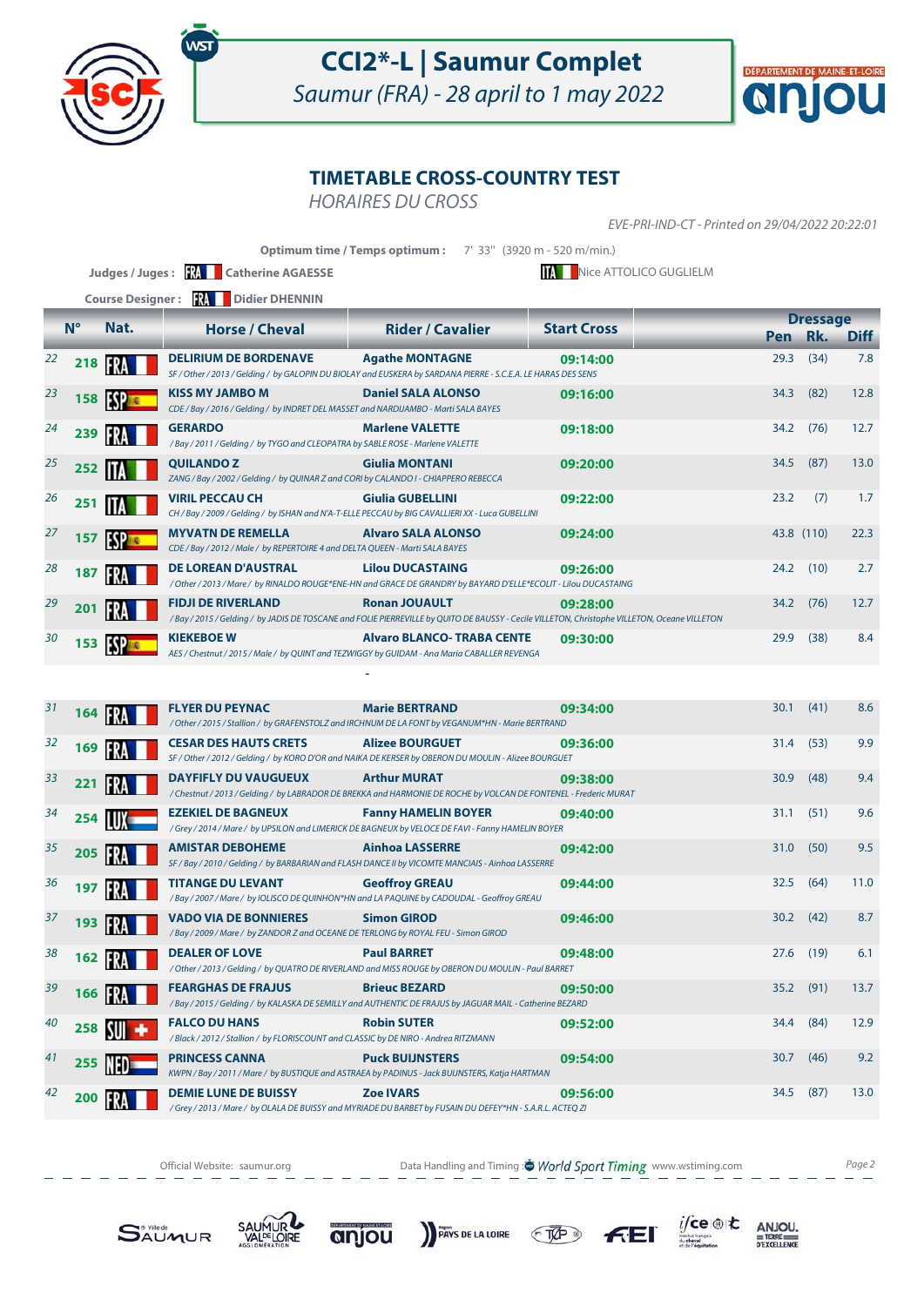

Saumur (FRA) - 28 april to 1 may 2022



### **TIMETABLE CROSS-COUNTRY TEST**

HORAIRES DU CROSS

EVE-PRI-IND-CT - Printed on 29/04/2022 20:22:01

|    |             |                         | Judges / Juges : $\mathbb{R}$<br><b>Catherine AGAESSE</b>                                                     | Optimum time / Temps optimum: 7' 33" (3920 m - 520 m/min.)                                                                                                      | Nice ATTOLICO GUGLIELM |         |                 |             |
|----|-------------|-------------------------|---------------------------------------------------------------------------------------------------------------|-----------------------------------------------------------------------------------------------------------------------------------------------------------------|------------------------|---------|-----------------|-------------|
|    |             | <b>Course Designer:</b> | <b>NAME Didier DHENNIN</b>                                                                                    |                                                                                                                                                                 |                        |         |                 |             |
|    | $N^{\circ}$ | Nat.                    | <b>Horse / Cheval</b>                                                                                         | <b>Rider / Cavalier</b>                                                                                                                                         | <b>Start Cross</b>     | Pen Rk. | <b>Dressage</b> | <b>Diff</b> |
| 22 | 218         | FR.                     | <b>DELIRIUM DE BORDENAVE</b>                                                                                  | <b>Agathe MONTAGNE</b><br>SF / Other / 2013 / Gelding / by GALOPIN DU BIOLAY and EUSKERA by SARDANA PIERRE - S.C.E.A. LE HARAS DES SENS                         | 09:14:00               | 29.3    | (34)            | 7.8         |
| 23 | 158         |                         | <b>KISS MY JAMBO M</b><br>CDE / Bay / 2016 / Gelding / by INDRET DEL MASSET and NARDIJAMBO - Marti SALA BAYES | <b>Daniel SALA ALONSO</b>                                                                                                                                       | 09:16:00               | 34.3    | (82)            | 12.8        |
| 24 | 239         |                         | <b>GERARDO</b><br>/Bay / 2011 / Gelding / by TYGO and CLEOPATRA by SABLE ROSE - Marlene VALETTE               | <b>Marlene VALETTE</b>                                                                                                                                          | 09:18:00               | 34.2    | (76)            | 12.7        |
| 25 | 252         |                         | <b>QUILANDOZ</b><br>ZANG / Bay / 2002 / Gelding / by QUINAR Z and CORI by CALANDO I - CHIAPPERO REBECCA       | <b>Giulia MONTANI</b>                                                                                                                                           | 09:20:00               | 34.5    | (87)            | 13.0        |
| 26 | 251         |                         | VIRIL PECCAU CH                                                                                               | <b>Giulia GUBELLINI</b><br>CH / Bay / 2009 / Gelding / by ISHAN and N'A-T-ELLE PECCAU by BIG CAVALLIERI XX - Luca GUBELLINI                                     | 09:22:00               | 23.2    | (7)             | 1.7         |
| 27 | 157         |                         | <b>MYVATN DE REMELLA</b><br>CDE / Bay / 2012 / Male / by REPERTOIRE 4 and DELTA QUEEN - Marti SALA BAYES      | <b>Alvaro SALA ALONSO</b>                                                                                                                                       | 09:24:00               |         | 43.8 (110)      | 22.3        |
| 28 | 187         |                         | <b>DE LOREAN D'AUSTRAL</b>                                                                                    | <b>Lilou DUCASTAING</b><br>/ Other / 2013 / Mare / by RINALDO ROUGE*ENE-HN and GRACE DE GRANDRY by BAYARD D'ELLE*ECOLIT - Lilou DUCASTAING                      | 09:26:00               | 24.2    | (10)            | 2.7         |
| 29 | 201         |                         | <b>FIDJI DE RIVERLAND</b>                                                                                     | <b>Ronan JOUAULT</b><br>/Bay/2015/Gelding/ by JADIS DE TOSCANE and FOLIE PIERREVILLE by QUITO DE BAUSSY - Cecile VILLETON, Christophe VILLETON, Oceane VILLETON | 09:28:00               | 34.2    | (76)            | 12.7        |
| 30 | 153         | <b>ESPEC</b>            | <b>KIEKEBOE W</b>                                                                                             | <b>Alvaro BLANCO- TRABA CENTE</b><br>AES / Chestnut / 2015 / Male / by QUINT and TEZWIGGY by GUIDAM - Ana Maria CABALLER REVENGA                                | 09:30:00               | 29.9    | (38)            | 8.4         |
|    |             |                         |                                                                                                               |                                                                                                                                                                 |                        |         |                 |             |
| 31 | 164         | FR.                     | <b>FLYER DU PEYNAC</b>                                                                                        | <b>Marie BERTRAND</b><br>/ Other / 2015 / Stallion / by GRAFENSTOLZ and IRCHNUM DE LA FONT by VEGANUM*HN - Marie BERTRAND                                       | 09:34:00               | 30.1    | (41)            | 8.6         |
| 32 | 169         | FR.                     | <b>CESAR DES HAUTS CRETS</b>                                                                                  | <b>Alizee BOURGUET</b><br>SF / Other / 2012 / Gelding / by KORO D'OR and NAIKA DE KERSER by OBERON DU MOULIN - Alizee BOURGUET                                  | 09:36:00               | 31.4    | (53)            | 9.9         |
| 33 | 221         |                         | <b>DAYFIFLY DU VAUGUEUX</b>                                                                                   | <b>Arthur MURAT</b><br>/ Chestnut / 2013 / Gelding / by LABRADOR DE BREKKA and HARMONIE DE ROCHE by VOLCAN DE FONTENEL - Frederic MURAT                         | 09:38:00               | 30.9    | (48)            | 9.4         |
| 34 | 254         |                         | <b>EZEKIEL DE BAGNEUX</b>                                                                                     | <b>Fanny HAMELIN BOYER</b><br>/Grey / 2014 / Mare / by UPSILON and LIMERICK DE BAGNEUX by VELOCE DE FAVI - Fanny HAMELIN BOYER                                  | 09:40:00               | 31.1    | (51)            | 9.6         |
| 35 | 205         |                         | <b>AMISTAR DEBOHEME</b>                                                                                       | <b>Ainhoa LASSERRE</b><br>SF / Bay / 2010 / Gelding / by BARBARIAN and FLASH DANCE II by VICOMTE MANCIAIS - Ainhoa LASSERRE                                     | 09:42:00               | 31.0    | (50)            | 9.5         |
| 36 | 197         | FR                      | <b>TITANGE DU LEVANT</b>                                                                                      | <b>Geoffroy GREAU</b><br>/ Ray / 2007 / Mare / by IOLISCO DE OUINHON*HN and LA PAOUINE by CADOUDAL - Geoffroy GREAU                                             | 09:44:00               | 32.5    | (64)            | 11.0        |

| 36 | 197 |               | <b>TITANGE DU LEVANT</b><br>/ Bay / 2007 / Mare / by IOLISCO DE QUINHON*HN and LA PAQUINE by CADOUDAL - Geoffroy GREAU  | <b>Geoffroy GREAU</b>                                                                                                        | 09:44:00 | 32.5 | (64) | 11.0 |
|----|-----|---------------|-------------------------------------------------------------------------------------------------------------------------|------------------------------------------------------------------------------------------------------------------------------|----------|------|------|------|
| 37 | 193 |               | <b>VADO VIA DE BONNIERES</b><br>/ Bay / 2009 / Mare / by ZANDOR Z and OCEANE DE TERLONG by ROYAL FEU - Simon GIROD      | <b>Simon GIROD</b>                                                                                                           | 09:46:00 | 30.2 | (42) | 8.7  |
| 38 | 162 |               | <b>DEALER OF LOVE</b>                                                                                                   | <b>Paul BARRET</b><br>/ Other / 2013 / Gelding / by QUATRO DE RIVERLAND and MISS ROUGE by OBERON DU MOULIN - Paul BARRET     | 09:48:00 | 27.6 | (19) | 6.1  |
| 39 | 166 | IFRA          | <b>FEARGHAS DE FRAJUS</b>                                                                                               | <b>Brieuc BEZARD</b><br>/Bay/2015/Gelding/by KALASKA DE SEMILLY and AUTHENTIC DE FRAJUS by JAGUAR MAIL - Catherine BEZARD    | 09:50:00 | 35.2 | (91) | 13.7 |
| 40 | 258 | $\frac{1}{2}$ | <b>FALCO DU HANS</b><br>/Black / 2012 / Stallion / by FLORISCOUNT and CLASSIC by DE NIRO - Andrea RITZMANN              | <b>Robin SUTER</b>                                                                                                           | 09:52:00 | 34.4 | (84) | 12.9 |
| 41 | 255 | 'NFD          | <b>PRINCESS CANNA</b><br>KWPN / Bay / 2011 / Mare / by BUSTIQUE and ASTRAEA by PADINUS - Jack BUIJNSTERS, Katja HARTMAN | <b>Puck BUIJNSTERS</b>                                                                                                       | 09:54:00 | 30.7 | (46) | 9.2  |
| 42 | 200 |               | <b>DEMIE LUNE DE BUISSY</b>                                                                                             | <b>Zoe IVARS</b><br>/Grey / 2013 / Mare / by OLALA DE BUISSY and MYRIADE DU BARBET by FUSAIN DU DEFEY*HN - S.A.R.L. ACTEQ ZI | 09:56:00 | 34.5 | (87) | 13.0 |

Official Website: saumur.org **Data Handling and Timing : World Sport Timing** www.wstiming.com Page 2

 $f(E)$ 

PAYS DE LA LOIRE TAP

 $i$ /ce  $\circledast$  to

 $\begin{array}{r}\nANJOU, \\
# \text{TERE} \\
 \hline\n\n \text{PEXCELLENCE}\n\end{array}$ 





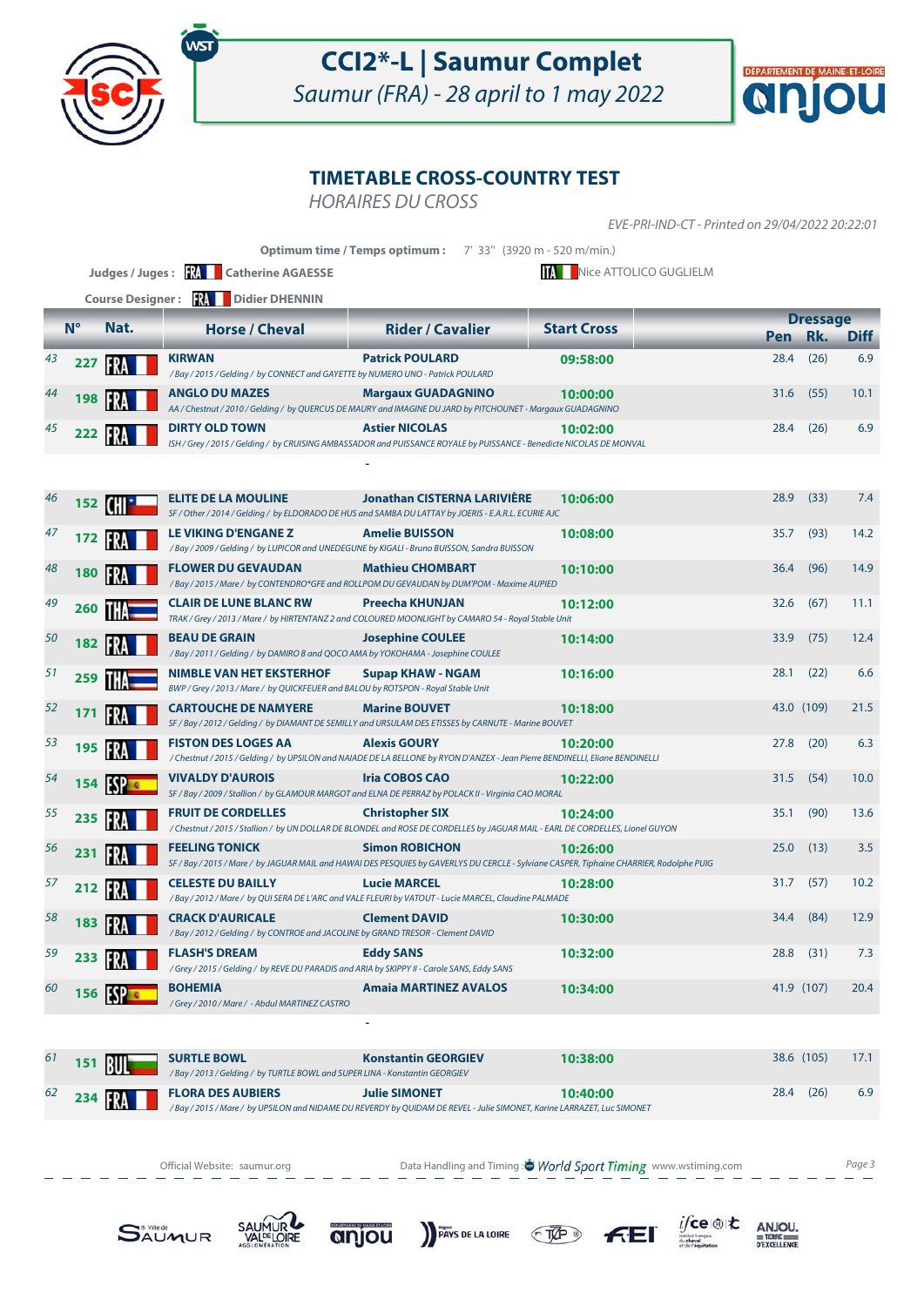

Saumur (FRA) - 28 april to 1 may 2022



### **TIMETABLE CROSS-COUNTRY TEST**

HORAIRES DU CROSS

EVE-PRI-IND-CT - Printed on 29/04/2022 20:22:01

|    |             |             | Judges / Juges: <b>XXII</b> Catherine AGAESSE                                                                             | Optimum time / Temps optimum: 7' 33" (3920 m - 520 m/min.)                                                                                                        | <b>MAN</b> Nice ATTOLICO GUGLIELM |            |                        |             |
|----|-------------|-------------|---------------------------------------------------------------------------------------------------------------------------|-------------------------------------------------------------------------------------------------------------------------------------------------------------------|-----------------------------------|------------|------------------------|-------------|
|    |             |             | <b>Course Designer: RA Didier DHENNIN</b>                                                                                 |                                                                                                                                                                   |                                   |            |                        |             |
|    | $N^{\circ}$ | Nat.        | <b>Horse / Cheval</b>                                                                                                     | <b>Rider / Cavalier</b>                                                                                                                                           | <b>Start Cross</b>                | <b>Pen</b> | <b>Dressage</b><br>Rk. | <b>Diff</b> |
| 43 | 227         | IFRA        | <b>KIRWAN</b><br>/Bay / 2015 / Gelding / by CONNECT and GAYETTE by NUMERO UNO - Patrick POULARD                           | <b>Patrick POULARD</b>                                                                                                                                            | 09:58:00                          | 28.4       | (26)                   | 6.9         |
|    | 198         |             | <b>ANGLO DU MAZES</b>                                                                                                     | <b>Margaux GUADAGNINO</b><br>AA / Chestnut / 2010 / Gelding / by QUERCUS DE MAURY and IMAGINE DU JARD by PITCHOUNET - Margaux GUADAGNINO                          | 10:00:00                          | 31.6       | (55)                   | 10.1        |
| 45 | 222         |             | <b>DIRTY OLD TOWN</b>                                                                                                     | <b>Astier NICOLAS</b><br>ISH / Grey / 2015 / Gelding / by CRUISING AMBASSADOR and PUISSANCE ROYALE by PUISSANCE - Benedicte NICOLAS DE MONVAL                     | 10:02:00                          |            | $28.4$ (26)            | 6.9         |
|    |             |             |                                                                                                                           |                                                                                                                                                                   |                                   |            |                        |             |
| 46 | 152         |             | <b>ELITE DE LA MOULINE</b>                                                                                                | <b>Jonathan CISTERNA LARIVIÈRE</b><br>SF / Other / 2014 / Gelding / by ELDORADO DE HUS and SAMBA DU LATTAY by JOERIS - E.A.R.L. ECURIE AJC                        | 10:06:00                          | 28.9       | (33)                   | 7.4         |
| 47 | 172         |             | <b>LE VIKING D'ENGANE Z</b><br>/Bay / 2009 / Gelding / by LUPICOR and UNEDEGUNE by KIGALI - Bruno BUISSON, Sandra BUISSON | <b>Amelie BUISSON</b>                                                                                                                                             | 10:08:00                          | 35.7       | (93)                   | 14.2        |
| 48 | 180         |             | <b>FLOWER DU GEVAUDAN</b>                                                                                                 | <b>Mathieu CHOMBART</b><br>/ Bay / 2015 / Mare / by CONTENDRO*GFE and ROLLPOM DU GEVAUDAN by DUM'POM - Maxime AUPIED                                              | 10:10:00                          | 36.4       | (96)                   | 14.9        |
| 49 | 260         |             | <b>CLAIR DE LUNE BLANC RW</b>                                                                                             | <b>Preecha KHUNJAN</b><br>TRAK / Grey / 2013 / Mare / by HIRTENTANZ 2 and COLOURED MOONLIGHT by CAMARO 54 - Royal Stable Unit                                     | 10:12:00                          | 32.6       | (67)                   | 11.1        |
| 50 | 182         | FR          | <b>BEAU DE GRAIN</b><br>/Bay / 2011 / Gelding / by DAMIRO B and QOCO AMA by YOKOHAMA - Josephine COULEE                   | <b>Josephine COULEE</b>                                                                                                                                           | 10:14:00                          | 33.9       | (75)                   | 12.4        |
| 51 | 259         |             | <b>NIMBLE VAN HET EKSTERHOF</b><br>BWP / Grey / 2013 / Mare / by QUICKFEUER and BALOU by ROTSPON - Royal Stable Unit      | <b>Supap KHAW - NGAM</b>                                                                                                                                          | 10:16:00                          | 28.1       | (22)                   | 6.6         |
| 52 | 171         | FR          | <b>CARTOUCHE DE NAMYERE</b>                                                                                               | <b>Marine BOUVET</b><br>SF / Bay / 2012 / Gelding / by DIAMANT DE SEMILLY and URSULAM DES ETISSES by CARNUTE - Marine BOUVET                                      | 10:18:00                          |            | 43.0 (109)             | 21.5        |
| 53 | 195         | FR.         | <b>FISTON DES LOGES AA</b>                                                                                                | <b>Alexis GOURY</b><br>/ Chestnut / 2015 / Gelding / by UPSILON and NAIADE DE LA BELLONE by RYON D'ANZEX - Jean Pierre BENDINELLI, Eliane BENDINELLI              | 10:20:00                          | 27.8       | (20)                   | 6.3         |
| 54 | 154         | <b>ESPE</b> | <b>VIVALDY D'AUROIS</b>                                                                                                   | <b>Iria COBOS CAO</b><br>SF / Bay / 2009 / Stallion / by GLAMOUR MARGOT and ELNA DE PERRAZ by POLACK II - Virginia CAO MORAL                                      | 10:22:00                          | 31.5       | (54)                   | 10.0        |
| 55 | 235         |             | <b>FRUIT DE CORDELLES</b>                                                                                                 | <b>Christopher SIX</b><br>/ Chestnut / 2015 / Stallion / by UN DOLLAR DE BLONDEL and ROSE DE CORDELLES by JAGUAR MAIL - EARL DE CORDELLES, Lionel GUYON           | 10:24:00                          | 35.1       | (90)                   | 13.6        |
| 56 | 231         |             | <b>FEELING TONICK</b>                                                                                                     | <b>Simon ROBICHON</b><br>SF / Bay / 2015 / Mare / by JAGUAR MAIL and HAWAI DES PESQUIES by GAVERLYS DU CERCLE - Sylviane CASPER, Tiphaine CHARRIER, Rodolphe PUIG | 10:26:00                          | 25.0       | (13)                   | 3.5         |
| 57 | 212         | <b>FRA</b>  | <b>CELESTE DU BAILLY</b>                                                                                                  | <b>Lucie MARCEL</b><br>/ Bay / 2012 / Mare / by QUI SERA DE L'ARC and VALE FLEURI by VATOUT - Lucie MARCEL, Claudine PALMADE                                      | 10:28:00                          | 31.7       | (57)                   | 10.2        |
| 58 | 183         |             | <b>CRACK D'AURICALE</b><br>/Bay / 2012 / Gelding / by CONTROE and JACOLINE by GRAND TRESOR - Clement DAVID                | <b>Clement DAVID</b>                                                                                                                                              | 10:30:00                          | 34.4       | (84)                   | 12.9        |
| 59 | 233         |             | <b>FLASH'S DREAM</b><br>/Grey / 2015 / Gelding / by REVE DU PARADIS and ARIA by SKIPPY II - Carole SANS, Eddy SANS        | <b>Eddy SANS</b>                                                                                                                                                  | 10:32:00                          | 28.8       | (31)                   | 7.3         |
| 60 | 156         | <b>ISPE</b> | <b>BOHEMIA</b><br>/Grey / 2010 / Mare / - Abdul MARTINEZ CASTRO                                                           | <b>Amaia MARTINEZ AVALOS</b>                                                                                                                                      | 10:34:00                          |            | 41.9 (107)             | 20.4        |
|    |             |             |                                                                                                                           |                                                                                                                                                                   |                                   |            |                        |             |

| 61 | $151$ $\frac{1}{2}$                                              | <b>SURTLE BOWL</b><br>/Bay/2013/Gelding/by TURTLE BOWL and SUPER LINA - Konstantin GEORGIEV | <b>Konstantin GEORGIEV</b>                                                                                              | 10:38:00 | 38.6 (105) |      | 17.1 |
|----|------------------------------------------------------------------|---------------------------------------------------------------------------------------------|-------------------------------------------------------------------------------------------------------------------------|----------|------------|------|------|
|    | $^{62}$ 234 $\begin{array}{ c c c }\n\hline\n1 & 1\n\end{array}$ | <b>FLORA DES AUBIERS</b>                                                                    | <b>Julie SIMONET</b>                                                                                                    | 10:40:00 | 28.4       | (26) | 6.9  |
|    |                                                                  |                                                                                             | / Bay / 2015 / Mare / by UPSILON and NIDAME DU REVERDY by QUIDAM DE REVEL - Julie SIMONET, Karine LARRAZET, Luc SIMONET |          |            |      |      |

Official Website: saumur.org **Data Handling and Timing : World Sport Timing** www.wstiming.com Page 3

 $f<sub>TE</sub>$ 

 $i$ fce  $\circledast$ t $\star$ 

 $\begin{array}{r}\nANJOU, \\
# \text{TERE} \\
 \hline\n\n \text{PEXCELLENCE}\n\end{array}$ 







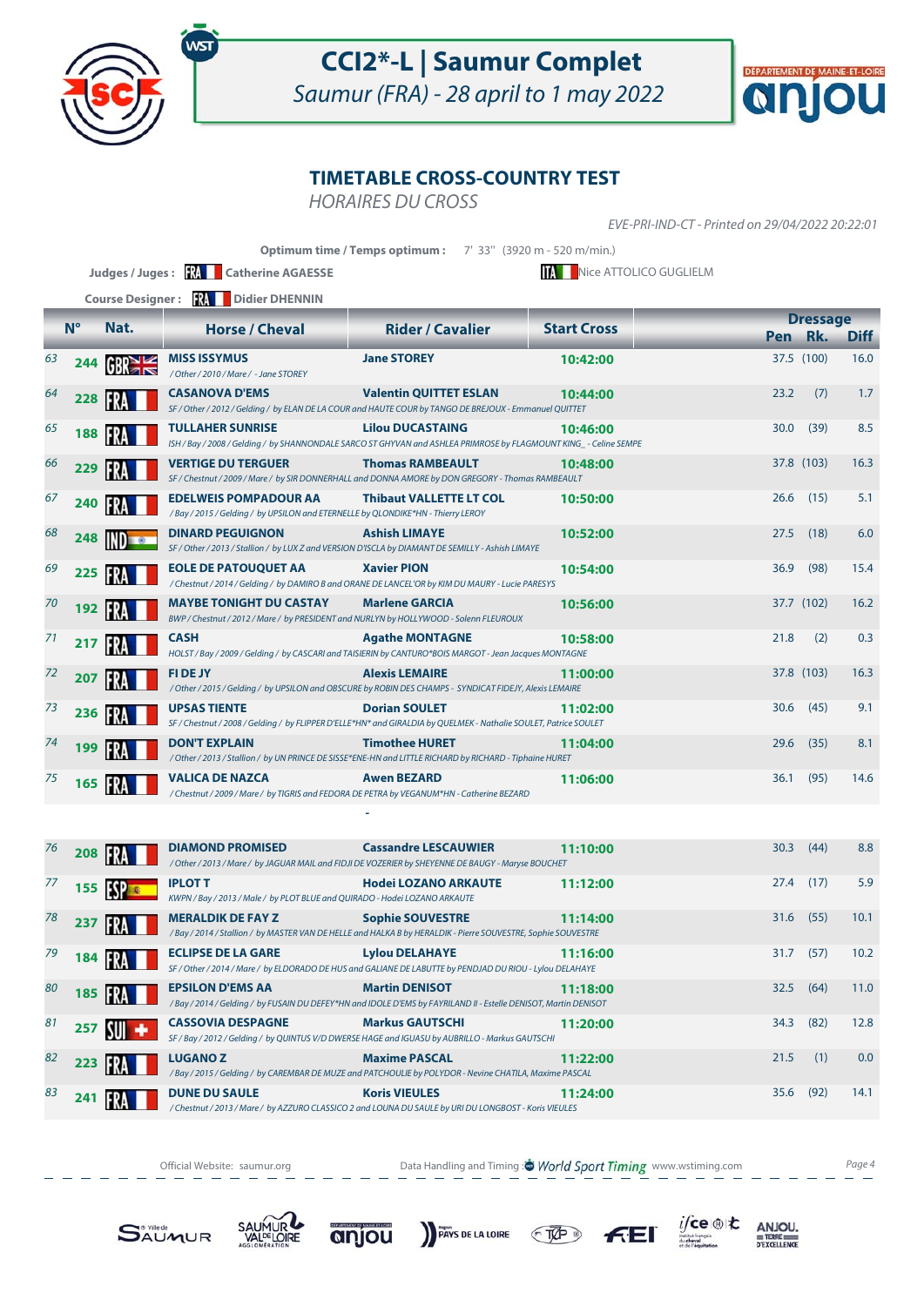

Saumur (FRA) - 28 april to 1 may 2022



#### **TIMETABLE CROSS-COUNTRY TEST**

HORAIRES DU CROSS

EVE-PRI-IND-CT - Printed on 29/04/2022 20:22:01

|    |             |                         |                                                                                                                                             | <b>Optimum time / Temps optimum :</b> | 7' 33" (3920 m - 520 m/min.) |            |                        |             |
|----|-------------|-------------------------|---------------------------------------------------------------------------------------------------------------------------------------------|---------------------------------------|------------------------------|------------|------------------------|-------------|
|    |             |                         | Judges / Juges: <b>We Catherine AGAESSE</b>                                                                                                 |                                       | Nice ATTOLICO GUGLIELM       |            |                        |             |
|    |             | <b>Course Designer:</b> | <b>17. Didier DHENNIN</b>                                                                                                                   |                                       |                              |            |                        |             |
|    | $N^{\circ}$ | Nat.                    | <b>Horse / Cheval</b>                                                                                                                       | <b>Rider / Cavalier</b>               | <b>Start Cross</b>           | <b>Pen</b> | <b>Dressage</b><br>Rk. | <b>Diff</b> |
| 63 | 244         |                         | MISS ISSYMUS<br>/ Other / 2010 / Mare / - Jane STOREY                                                                                       | <b>Jane STOREY</b>                    | 10:42:00                     | 37.5 (100) |                        | 16.0        |
| 64 | 228         | FR                      | <b>CASANOVA D'EMS</b><br>SF / Other / 2012 / Gelding / by ELAN DE LA COUR and HAUTE COUR by TANGO DE BREJOUX - Emmanuel QUITTET             | <b>Valentin QUITTET ESLAN</b>         | 10:44:00                     | 23.2       | (7)                    | 1.7         |
| 65 | 188         | FRA                     | <b>TULLAHER SUNRISE</b><br>ISH / Bay / 2008 / Gelding / by SHANNONDALE SARCO ST GHYVAN and ASHLEA PRIMROSE by FLAGMOUNT KING_- Celine SEMPE | <b>Lilou DUCASTAING</b>               | 10:46:00                     | 30.0       | (39)                   | 8.5         |
| 66 | 229         | IFRA                    | <b>VERTIGE DU TERGUER</b><br>SF / Chestnut / 2009 / Mare / by SIR DONNERHALL and DONNA AMORE by DON GREGORY - Thomas RAMBEAULT              | <b>Thomas RAMBEAULT</b>               | 10:48:00                     | 37.8 (103) |                        | 16.3        |
| 67 | 240         | IFR.                    | <b>EDELWEIS POMPADOUR AA</b><br>/Bay / 2015 / Gelding / by UPSILON and ETERNELLE by QLONDIKE*HN - Thierry LEROY                             | <b>Thibaut VALLETTE LT COL</b>        | 10:50:00                     | 26.6       | (15)                   | 5.1         |
| 68 | 248         |                         | <b>DINARD PEGUIGNON</b><br>SF / Other / 2013 / Stallion / by LUX Z and VERSION D'ISCLA by DIAMANT DE SEMILLY - Ashish LIMAYE                | <b>Ashish LIMAYE</b>                  | 10:52:00                     | 27.5       | (18)                   | 6.0         |
| 69 | 225         |                         | <b>EOLE DE PATOUQUET AA</b><br>/ Chestnut / 2014 / Gelding / by DAMIRO B and ORANE DE LANCEL'OR by KIM DU MAURY - Lucie PARESYS             | <b>Xavier PION</b>                    | 10:54:00                     | 36.9       | (98)                   | 15.4        |
| 70 | 192         | FR.                     | <b>MAYBE TONIGHT DU CASTAY</b><br>BWP / Chestnut / 2012 / Mare / by PRESIDENT and NURLYN by HOLLYWOOD - Solenn FLEUROUX                     | <b>Marlene GARCIA</b>                 | 10:56:00                     | 37.7 (102) |                        | 16.2        |
| 71 | 217         | FR                      | <b>CASH</b><br>HOLST/Bay/2009/Gelding/by CASCARI and TAISIERIN by CANTURO*BOIS MARGOT - Jean Jacques MONTAGNE                               | <b>Agathe MONTAGNE</b>                | 10:58:00                     | 21.8       | (2)                    | 0.3         |
| 72 | 207         | IFR                     | <b>FIDEJY</b><br>/ Other / 2015 / Gelding / by UPSILON and OBSCURE by ROBIN DES CHAMPS - SYNDICAT FIDEJY, Alexis LEMAIRE                    | <b>Alexis LEMAIRE</b>                 | 11:00:00                     | 37.8 (103) |                        | 16.3        |
| 73 | 236         | IFRA                    | <b>UPSAS TIENTE</b><br>SF / Chestnut / 2008 / Gelding / by FLIPPER D'ELLE*HN* and GIRALDIA by QUELMEK - Nathalie SOULET, Patrice SOULET     | <b>Dorian SOULET</b>                  | 11:02:00                     | 30.6       | (45)                   | 9.1         |
| 74 | 199         | FR                      | <b>DON'T EXPLAIN</b><br>/ Other / 2013 / Stallion / by UN PRINCE DE SISSE*ENE-HN and LITTLE RICHARD by RICHARD - Tiphaine HURET             | <b>Timothee HURET</b>                 | 11:04:00                     | 29.6       | (35)                   | 8.1         |
| 75 | 165         |                         | <b>VALICA DE NAZCA</b><br>/ Chestnut / 2009 / Mare / by TIGRIS and FEDORA DE PETRA by VEGANUM*HN - Catherine BEZARD                         | <b>Awen BEZARD</b>                    | 11:06:00                     | 36.1       | (95)                   | 14.6        |

| 76 | 208 |    | <b>DIAMOND PROMISED</b>                                                                      | <b>Cassandre LESCAUWIER</b><br>/ Other / 2013 / Mare / by JAGUAR MAIL and FIDJI DE VOZERIER by SHEYENNE DE BAUGY - Maryse BOUCHET         | 11:10:00 | 30.3 | (44) | 8.8  |
|----|-----|----|----------------------------------------------------------------------------------------------|-------------------------------------------------------------------------------------------------------------------------------------------|----------|------|------|------|
| 77 | 155 |    | <b>IPLOT T</b><br>KWPN / Bay / 2013 / Male / by PLOT BLUE and QUIRADO - Hodei LOZANO ARKAUTE | <b>Hodei LOZANO ARKAUTE</b>                                                                                                               | 11:12:00 | 27.4 | (17) | 5.9  |
| 78 | 237 |    | <b>MERALDIK DE FAY Z</b>                                                                     | <b>Sophie SOUVESTRE</b><br>/Bay / 2014 / Stallion / by MASTER VAN DE HELLE and HALKA B by HERALDIK - Pierre SOUVESTRE, Sophie SOUVESTRE   | 11:14:00 | 31.6 | (55) | 10.1 |
| 79 | 184 |    | <b>ECLIPSE DE LA GARE</b>                                                                    | <b>Lylou DELAHAYE</b><br>SF / Other / 2014 / Mare / by ELDORADO DE HUS and GALIANE DE LABUTTE by PENDJAD DU RIOU - Lylou DELAHAYE         | 11:16:00 | 31.7 | (57) | 10.2 |
| 80 | 185 |    | <b>EPSILON D'EMS AA</b>                                                                      | <b>Martin DENISOT</b><br>/ Bay / 2014 / Gelding / by FUSAIN DU DEFEY*HN and IDOLE D'EMS by FAYRILAND II - Estelle DENISOT, Martin DENISOT | 11:18:00 | 32.5 | (64) | 11.0 |
| 81 | 257 | ИШ | <b>CASSOVIA DESPAGNE</b>                                                                     | <b>Markus GAUTSCHI</b><br>SF / Bay / 2012 / Gelding / by QUINTUS V/D DWERSE HAGE and IGUASU by AUBRILLO - Markus GAUTSCHI                 | 11:20:00 | 34.3 | (82) | 12.8 |
| 82 | 223 |    | <b>LUGANOZ</b>                                                                               | <b>Maxime PASCAL</b><br>/Bay / 2015 / Gelding / by CAREMBAR DE MUZE and PATCHOULIE by POLYDOR - Nevine CHATILA, Maxime PASCAL             | 11:22:00 | 21.5 | (1)  | 0.0  |
| 83 | 241 |    | <b>DUNE DU SAULE</b>                                                                         | <b>Koris VIEULES</b><br>/ Chestnut / 2013 / Mare / by AZZURO CLASSICO 2 and LOUNA DU SAULE by URI DU LONGBOST - Koris VIEULES             | 11:24:00 | 35.6 | (92) | 14.1 |

Official Website: saumur.org **Data Handling and Timing : World Sport Timing** www.wstiming.com Page 4

 $f(E)$ 

PAYS DE LA LOIRE TVP

 $i$ /ce  $\circledast$  to

 $\begin{array}{r}\nANJOU, \\
# \text{TERE} \\
 \hline\n\n \text{PEXCELLENCE}\n\end{array}$ 







 **-**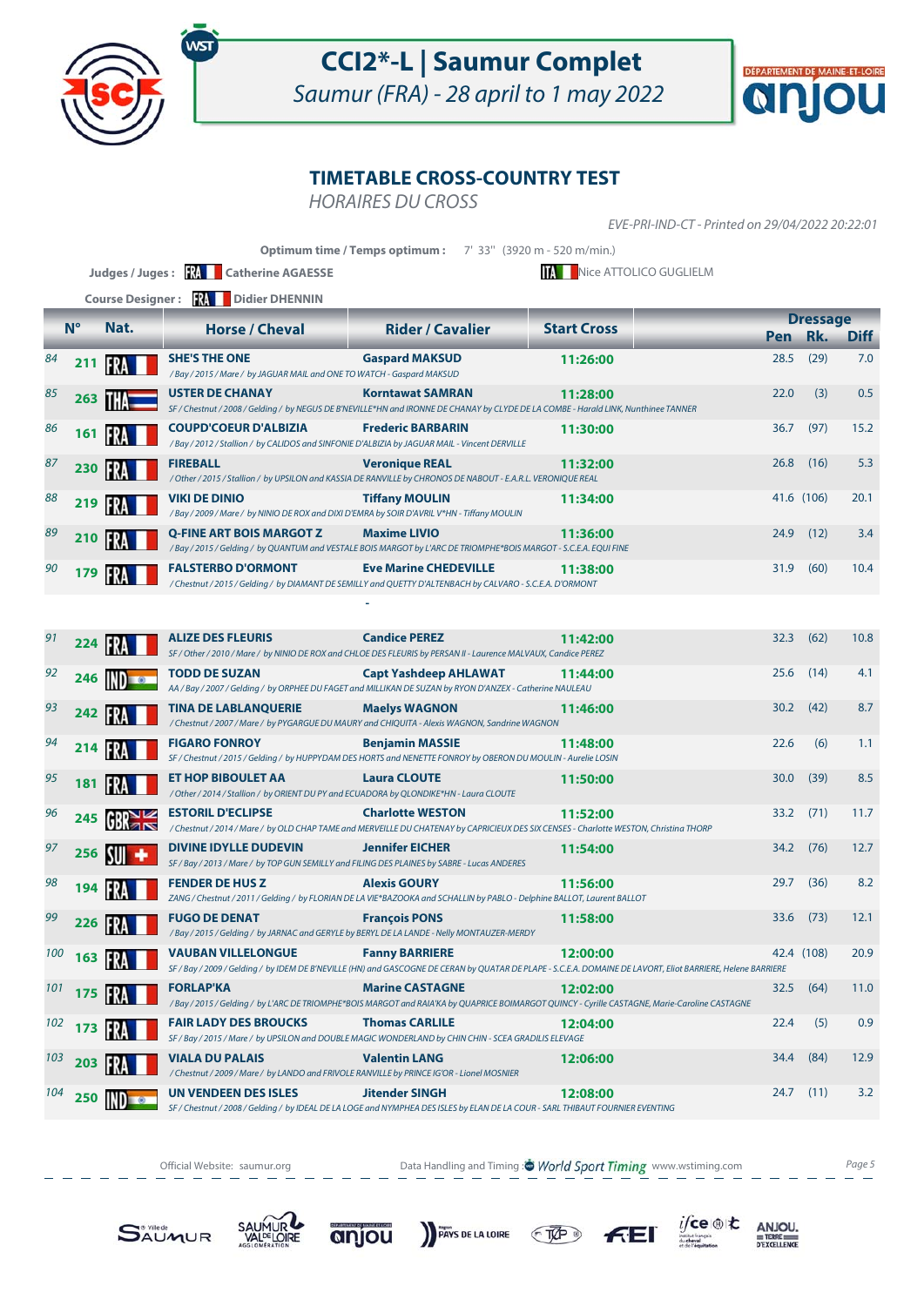

Saumur (FRA) - 28 april to 1 may 2022



#### **TIMETABLE CROSS-COUNTRY TEST**

HORAIRES DU CROSS

EVE-PRI-IND-CT - Printed on 29/04/2022 20:22:01

|     |                      | <b>Course Designer:</b> | <b>RA</b> Didier DHENNIN                                                                                                     | Optimum time / Temps optimum: 7' 33" (3920 m - 520 m/min.)                                                                                                     | Nice ATTOLICO GUGLIELM                                                                                                                                                   |      |                            |             |
|-----|----------------------|-------------------------|------------------------------------------------------------------------------------------------------------------------------|----------------------------------------------------------------------------------------------------------------------------------------------------------------|--------------------------------------------------------------------------------------------------------------------------------------------------------------------------|------|----------------------------|-------------|
|     | $N^{\circ}$          | Nat.                    | <b>Horse / Cheval</b>                                                                                                        | <b>Rider / Cavalier</b>                                                                                                                                        | <b>Start Cross</b>                                                                                                                                                       |      | <b>Dressage</b><br>Pen Rk. | <b>Diff</b> |
| 84  | 211                  | FRA                     | <b>SHE'S THE ONE</b>                                                                                                         | <b>Gaspard MAKSUD</b>                                                                                                                                          | 11:26:00                                                                                                                                                                 | 28.5 | (29)                       | 7.0         |
| 85  | 263                  |                         | /Bay / 2015 / Mare / by JAGUAR MAIL and ONE TO WATCH - Gaspard MAKSUD<br><b>USTER DE CHANAY</b>                              | <b>Korntawat SAMRAN</b><br>SF / Chestnut / 2008 / Gelding / by NEGUS DE B'NEVILLE*HN and IRONNE DE CHANAY by CLYDE DE LA COMBE - Harald LINK, Nunthinee TANNER | 11:28:00                                                                                                                                                                 | 22.0 | (3)                        | 0.5         |
| 86  | 161                  | FR.                     | <b>COUPD'COEUR D'ALBIZIA</b><br>/Bay / 2012 / Stallion / by CALIDOS and SINFONIE D'ALBIZIA by JAGUAR MAIL - Vincent DERVILLE | <b>Frederic BARBARIN</b>                                                                                                                                       | 11:30:00                                                                                                                                                                 | 36.7 | (97)                       | 15.2        |
| 87  | 230                  | IFRA                    | <b>FIREBALL</b>                                                                                                              | <b>Veronique REAL</b><br>/ Other / 2015 / Stallion / by UPSILON and KASSIA DE RANVILLE by CHRONOS DE NABOUT - E.A.R.L. VERONIQUE REAL                          | 11:32:00                                                                                                                                                                 | 26.8 | (16)                       | 5.3         |
| 88  | 219                  | IFRA                    | <b>VIKI DE DINIO</b><br>/Bay / 2009 / Mare / by NINIO DE ROX and DIXI D'EMRA by SOIR D'AVRIL V*HN - Tiffany MOULIN           | <b>Tiffany MOULIN</b>                                                                                                                                          | 11:34:00                                                                                                                                                                 |      | 41.6 (106)                 | 20.1        |
| 89  | 210                  | IFRA                    | Q-FINE ART BOIS MARGOT Z                                                                                                     | <b>Maxime LIVIO</b><br>/Bay / 2015 / Gelding / by QUANTUM and VESTALE BOIS MARGOT by L'ARC DE TRIOMPHE*BOIS MARGOT - S.C.E.A. EQUI FINE                        | 11:36:00                                                                                                                                                                 | 24.9 | (12)                       | 3.4         |
| 90  | 179                  | <b>FRA</b>              | <b>FALSTERBO D'ORMONT</b>                                                                                                    | <b>Eve Marine CHEDEVILLE</b><br>/Chestnut/2015/Gelding/ by DIAMANT DE SEMILLY and QUETTY D'ALTENBACH by CALVARO - S.C.E.A. D'ORMONT                            | 11:38:00                                                                                                                                                                 | 31.9 | (60)                       | 10.4        |
|     |                      |                         |                                                                                                                              |                                                                                                                                                                |                                                                                                                                                                          |      |                            |             |
| 91  | 224                  | $  \cdot  $             | <b>ALIZE DES FLEURIS</b>                                                                                                     | <b>Candice PEREZ</b><br>SF / Other / 2010 / Mare / by NINIO DE ROX and CHLOE DES FLEURIS by PERSAN II - Laurence MALVAUX, Candice PEREZ                        | 11:42:00                                                                                                                                                                 | 32.3 | (62)                       | 10.8        |
| 92  | 246                  |                         | TODD DE SUZAN                                                                                                                | <b>Capt Yashdeep AHLAWAT</b><br>AA / Bay / 2007 / Gelding / by ORPHEE DU FAGET and MILLIKAN DE SUZAN by RYON D'ANZEX - Catherine NAULEAU                       | 11:44:00                                                                                                                                                                 | 25.6 | (14)                       | 4.1         |
| 93  | 242                  |                         | <b>TINA DE LABLANQUERIE</b>                                                                                                  | <b>Maelys WAGNON</b><br>/ Chestnut / 2007 / Mare / by PYGARGUE DU MAURY and CHIQUITA - Alexis WAGNON, Sandrine WAGNON                                          | 11:46:00                                                                                                                                                                 | 30.2 | (42)                       | 8.7         |
| 94  | 214                  |                         | <b>FIGARO FONROY</b>                                                                                                         | <b>Benjamin MASSIE</b><br>SF / Chestnut / 2015 / Gelding / by HUPPYDAM DES HORTS and NENETTE FONROY by OBERON DU MOULIN - Aurelie LOSIN                        | 11:48:00                                                                                                                                                                 | 22.6 | (6)                        | 1.1         |
| 95  | 181                  | FR                      | ET HOP BIBOULET AA<br>/Other / 2014 / Stallion / by ORIENT DU PY and ECUADORA by QLONDIKE*HN - Laura CLOUTE                  | <b>Laura CLOUTE</b>                                                                                                                                            | 11:50:00                                                                                                                                                                 | 30.0 | (39)                       | 8.5         |
| 96  | 245                  | GR <sub>8</sub>         | <b>ESTORIL D'ECLIPSE</b>                                                                                                     | <b>Charlotte WESTON</b><br>/Chestnut/2014/Mare/ by OLD CHAP TAME and MERVEILLE DU CHATENAY by CAPRICIEUX DES SIX CENSES - Charlotte WESTON, Christina THORP    | 11:52:00                                                                                                                                                                 | 33.2 | (71)                       | 11.7        |
| 97  | 256                  | <b>SUIL</b>             | <b>DIVINE IDYLLE DUDEVIN</b><br>SF / Bay / 2013 / Mare / by TOP GUN SEMILLY and FILING DES PLAINES by SABRE - Lucas ANDERES  | <b>Jennifer EICHER</b>                                                                                                                                         | 11:54:00                                                                                                                                                                 | 34.2 | (76)                       | 12.7        |
| 98  | 194                  | IFRA                    | <b>FENDER DE HUS Z</b>                                                                                                       | <b>Alexis GOURY</b><br>ZANG / Chestnut / 2011 / Gelding / by FLORIAN DE LA VIE*BAZOOKA and SCHALLIN by PABLO - Delphine BALLOT, Laurent BALLOT                 | 11:56:00                                                                                                                                                                 | 29.7 | (36)                       | 8.2         |
| 99  |                      | 226 <b>RAI</b>          | <b>FUGO DE DENAT</b><br>/ Bay / 2015 / Gelding / by JARNAC and GERYLE by BERYL DE LA LANDE - Nelly MONTAUZER-MERDY           | <b>François PONS</b>                                                                                                                                           | 11:58:00                                                                                                                                                                 | 33.6 | (73)                       | 12.1        |
| 100 | $163$ $\frac{11}{2}$ |                         | <b>VAUBAN VILLELONGUE</b>                                                                                                    | <b>Fanny BARRIERE</b>                                                                                                                                          | 12:00:00<br>SF / Bay / 2009 / Gelding / by IDEM DE B'NEVILLE (HN) and GASCOGNE DE CERAN by QUATAR DE PLAPE - S.C.E.A. DOMAINE DE LAVORT, Eliot BARRIERE, Helene BARRIERE |      | 42.4 (108)                 | 20.9        |
| 101 | 175                  | IFRA                    | <b>FORLAP'KA</b>                                                                                                             | <b>Marine CASTAGNE</b>                                                                                                                                         | 12:02:00<br>/Bay/2015/Gelding/byL'ARCDETRIOMPHE*BOIS MARGOT and RAIA'KA by QUAPRICE BOIMARGOT QUINCY - Cyrille CASTAGNE, Marie-Caroline CASTAGNE                         | 32.5 | (64)                       | 11.0        |
| 102 | 173                  | IFRA                    | <b>FAIR LADY DES BROUCKS</b>                                                                                                 | <b>Thomas CARLILE</b><br>SF / Bay / 2015 / Mare / by UPSILON and DOUBLE MAGIC WONDERLAND by CHIN CHIN - SCEA GRADILIS ELEVAGE                                  | 12:04:00                                                                                                                                                                 | 22.4 | (5)                        | 0.9         |
| 103 | 203                  |                         | VIALA DU PALAIS<br>/ Chestnut / 2009 / Mare / by LANDO and FRIVOLE RANVILLE by PRINCE IG'OR - Lionel MOSNIER                 | <b>Valentin LANG</b>                                                                                                                                           | 12:06:00                                                                                                                                                                 | 34.4 | (84)                       | 12.9        |
| 104 | 250                  |                         | UN VENDEEN DES ISLES                                                                                                         | <b>Jitender SINGH</b><br>SF / Chestnut / 2008 / Gelding / by IDEAL DE LA LOGE and NYMPHEA DES ISLES by ELAN DE LA COUR - SARL THIBAUT FOURNIER EVENTING        | 12:08:00                                                                                                                                                                 | 24.7 | (11)                       | 3.2         |

Official Website: saumur.org **Data Handling and Timing : World Sport Timing** www.wstiming.com Page 5

 $f<sub>TE</sub>$ 

 $i$ /ce  $\circledast$  to

 $\begin{array}{r}\nANJOU, \\
# \text{TERE} \\
 \hline\n\n \text{PEXCELLENCE}\n\end{array}$